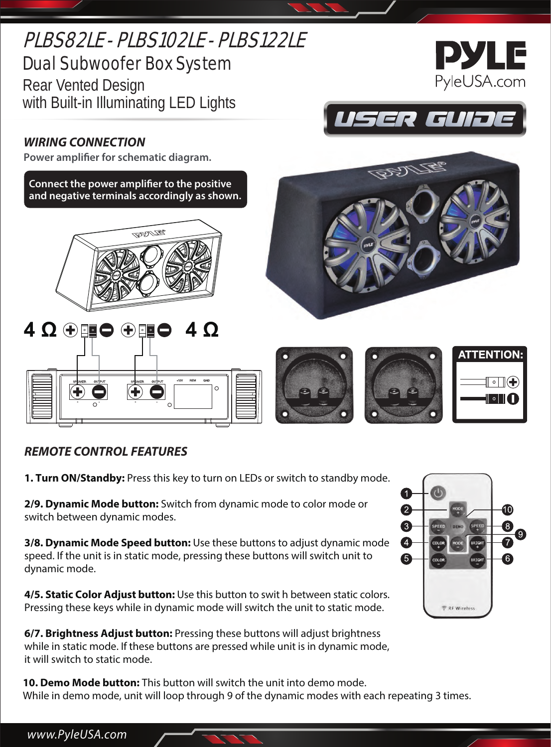# PLBS82LE - PLBS102LE - PLBS122LE Dual Subwoofer Box System

Rear Vented Design with Built-in Illuminating LED Lights

# *WIRING CONNECTION*

Power amplifier for schematic diagram.

**Connect the power amplifier to the positive and negative terminals accordingly as shown.**



#### $4\ \Omega\oplus 4$  $4\ \Omega$

| SPEAKER<br>OU PUT<br>$\sim$ | $+12V$<br>SPEAKER<br><b>OU PUT</b><br>--<br>÷. | REM<br>GND<br>O<br>$\overline{u}$ |  |
|-----------------------------|------------------------------------------------|-----------------------------------|--|





| <b>ATTENTION:</b>                                               |  |  |  |  |
|-----------------------------------------------------------------|--|--|--|--|
|                                                                 |  |  |  |  |
| $\overline{\circ}$ $\overline{\mathbb{I}}$ $\left( \biguparrow$ |  |  |  |  |
| $\blacksquare$ $\blacksquare$ $\blacksquare$                    |  |  |  |  |
|                                                                 |  |  |  |  |

### *REMOTE CONTROL FEATURES*

**1. Turn ON/Standby:** Press this key to turn on LEDs or switch to standby mode.

**2/9. Dynamic Mode button:** Switch from dynamic mode to color mode or switch between dynamic modes.

**3/8. Dynamic Mode Speed button:** Use these buttons to adjust dynamic mode speed. If the unit is in static mode, pressing these buttons will switch unit to dynamic mode.

**4/5. Static Color Adjust button:** Use this button to swit h between static colors. Pressing these keys while in dynamic mode will switch the unit to static mode.

**6/7. Brightness Adjust button:** Pressing these buttons will adjust brightness while in static mode. If these buttons are pressed while unit is in dynamic mode, it will switch to static mode.

**10. Demo Mode button:** This button will switch the unit into demo mode. While in demo mode, unit will loop through 9 of the dynamic modes with each repeating 3 times.



*www.PyleUSA.com*



SER GUIDE